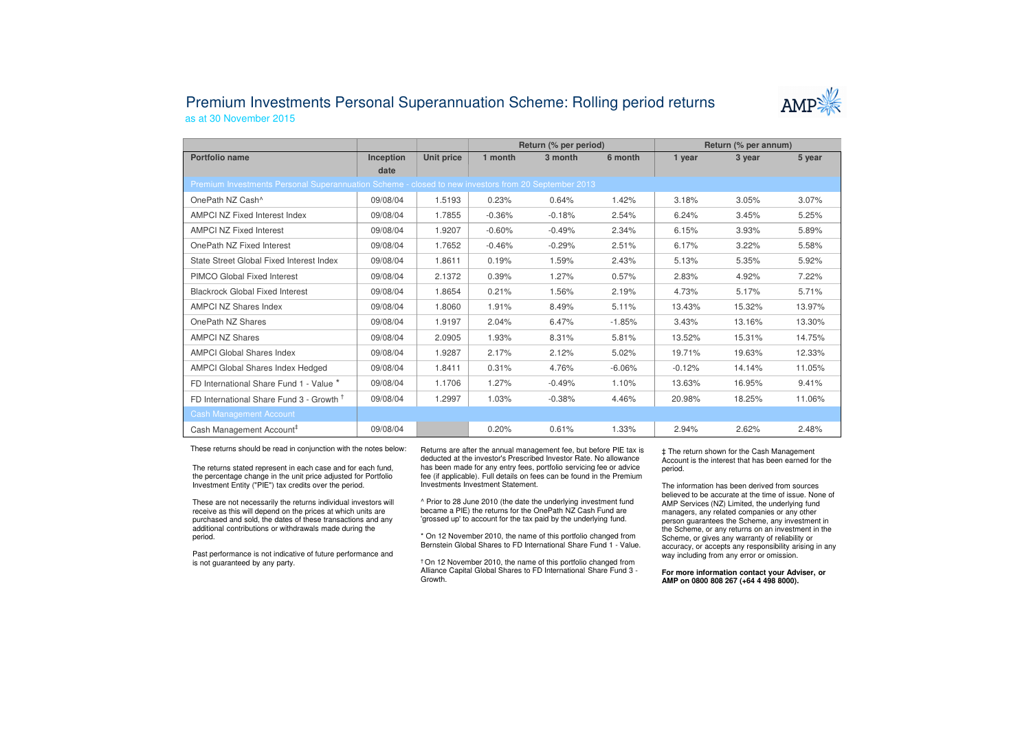## Premium Investments Personal Superannuation Scheme: Rolling period returnsas at 30 November 2015



|                                                                                                     |           |            | Return (% per period) |          |          | Return (% per annum) |        |        |  |
|-----------------------------------------------------------------------------------------------------|-----------|------------|-----------------------|----------|----------|----------------------|--------|--------|--|
| Portfolio name                                                                                      | Inception | Unit price | 1 month               | 3 month  | 6 month  | 1 year               | 3 year | 5 year |  |
|                                                                                                     | date      |            |                       |          |          |                      |        |        |  |
| Premium Investments Personal Superannuation Scheme - closed to new investors from 20 September 2013 |           |            |                       |          |          |                      |        |        |  |
| OnePath NZ Cash^                                                                                    | 09/08/04  | 1.5193     | 0.23%                 | 0.64%    | 1.42%    | 3.18%                | 3.05%  | 3.07%  |  |
| <b>AMPCI NZ Fixed Interest Index</b>                                                                | 09/08/04  | 1.7855     | $-0.36%$              | $-0.18%$ | 2.54%    | 6.24%                | 3.45%  | 5.25%  |  |
| <b>AMPCI NZ Fixed Interest</b>                                                                      | 09/08/04  | 1.9207     | $-0.60%$              | $-0.49%$ | 2.34%    | 6.15%                | 3.93%  | 5.89%  |  |
| OnePath NZ Fixed Interest                                                                           | 09/08/04  | 1.7652     | $-0.46%$              | $-0.29%$ | 2.51%    | 6.17%                | 3.22%  | 5.58%  |  |
| State Street Global Fixed Interest Index                                                            | 09/08/04  | 1.8611     | 0.19%                 | 1.59%    | 2.43%    | 5.13%                | 5.35%  | 5.92%  |  |
| PIMCO Global Fixed Interest                                                                         | 09/08/04  | 2.1372     | 0.39%                 | 1.27%    | 0.57%    | 2.83%                | 4.92%  | 7.22%  |  |
| <b>Blackrock Global Fixed Interest</b>                                                              | 09/08/04  | 1.8654     | 0.21%                 | 1.56%    | 2.19%    | 4.73%                | 5.17%  | 5.71%  |  |
| <b>AMPCI NZ Shares Index</b>                                                                        | 09/08/04  | 1.8060     | 1.91%                 | 8.49%    | 5.11%    | 13.43%               | 15.32% | 13.97% |  |
| OnePath NZ Shares                                                                                   | 09/08/04  | 1.9197     | 2.04%                 | 6.47%    | $-1.85%$ | 3.43%                | 13.16% | 13.30% |  |
| <b>AMPCI NZ Shares</b>                                                                              | 09/08/04  | 2.0905     | 1.93%                 | 8.31%    | 5.81%    | 13.52%               | 15.31% | 14.75% |  |
| <b>AMPCI Global Shares Index</b>                                                                    | 09/08/04  | 1.9287     | 2.17%                 | 2.12%    | 5.02%    | 19.71%               | 19.63% | 12.33% |  |
| <b>AMPCI Global Shares Index Hedged</b>                                                             | 09/08/04  | 1.8411     | 0.31%                 | 4.76%    | $-6.06%$ | $-0.12%$             | 14.14% | 11.05% |  |
| FD International Share Fund 1 - Value *                                                             | 09/08/04  | 1.1706     | 1.27%                 | $-0.49%$ | 1.10%    | 13.63%               | 16.95% | 9.41%  |  |
| FD International Share Fund 3 - Growth <sup>T</sup>                                                 | 09/08/04  | 1.2997     | 1.03%                 | $-0.38%$ | 4.46%    | 20.98%               | 18.25% | 11.06% |  |
| <b>Cash Management Account</b>                                                                      |           |            |                       |          |          |                      |        |        |  |
| Cash Management Account <sup>#</sup>                                                                | 09/08/04  |            | 0.20%                 | 0.61%    | 1.33%    | 2.94%                | 2.62%  | 2.48%  |  |

These returns should be read in conjunction with the notes below:

The returns stated represent in each case and for each fund, the percentage change in the unit price adjusted for Portfolio Investment Entity ("PIE") tax credits over the period.

These are not necessarily the returns individual investors will receive as this will depend on the prices at which units are purchased and sold, the dates of these transactions and any additional contributions or withdrawals made during the period.

Past performance is not indicative of future performance and is not guaranteed by any party.

Returns are after the annual management fee, but before PIE tax is deducted at the investor's Prescribed Investor Rate. No allowance has been made for any entry fees, portfolio servicing fee or advice fee (if applicable). Full details on fees can be found in the Premium Investments Investment Statement.

^ Prior to 28 June 2010 (the date the underlying investment fund became a PIE) the returns for the OnePath NZ Cash Fund are 'grossed up' to account for the tax paid by the underlying fund.

\* On 12 November 2010, the name of this portfolio changed from Bernstein Global Shares to FD International Share Fund 1 - Value.

† On 12 November 2010, the name of this portfolio changed from Alliance Capital Global Shares to FD International Share Fund 3 -Growth.

‡ The return shown for the Cash Management Account is the interest that has been earned for the period.

The information has been derived from sources believed to be accurate at the time of issue. None of AMP Services (NZ) Limited, the underlying fund managers, any related companies or any other person guarantees the Scheme, any investment in the Scheme, or any returns on an investment in the Scheme, or gives any warranty of reliability or accuracy, or accepts any responsibility arising in any way including from any error or omission.

**For more information contact your Adviser, or AMP on 0800 808 267 (+64 4 498 8000).**